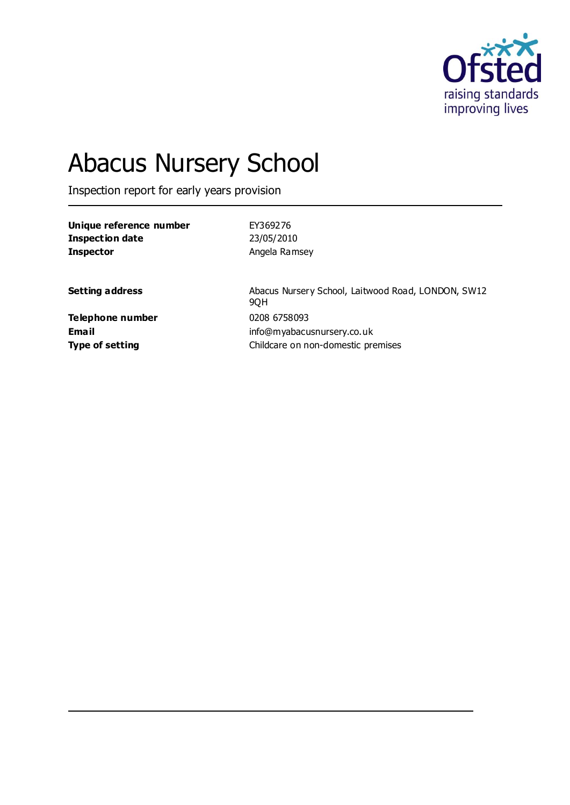

# Abacus Nursery School

Inspection report for early years provision

| Unique reference number | EY369276      |
|-------------------------|---------------|
| Inspection date         | 23/05/2010    |
| <b>Inspector</b>        | Angela Ramsey |

**Setting address** Abacus Nursery School, Laitwood Road, LONDON, SW12 9QH **Email** info@myabacusnursery.co.uk **Type of setting** Childcare on non-domestic premises

**Telephone number** 0208 6758093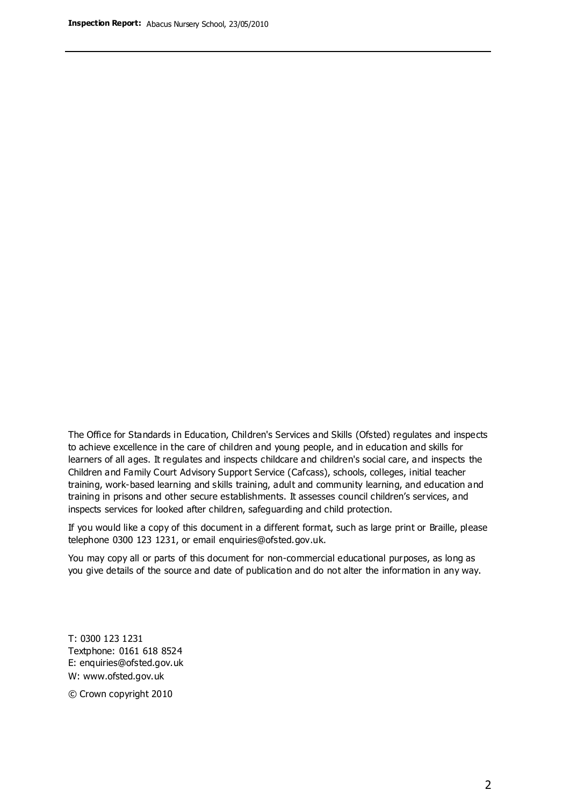The Office for Standards in Education, Children's Services and Skills (Ofsted) regulates and inspects to achieve excellence in the care of children and young people, and in education and skills for learners of all ages. It regulates and inspects childcare and children's social care, and inspects the Children and Family Court Advisory Support Service (Cafcass), schools, colleges, initial teacher training, work-based learning and skills training, adult and community learning, and education and training in prisons and other secure establishments. It assesses council children's services, and inspects services for looked after children, safeguarding and child protection.

If you would like a copy of this document in a different format, such as large print or Braille, please telephone 0300 123 1231, or email enquiries@ofsted.gov.uk.

You may copy all or parts of this document for non-commercial educational purposes, as long as you give details of the source and date of publication and do not alter the information in any way.

T: 0300 123 1231 Textphone: 0161 618 8524 E: enquiries@ofsted.gov.uk W: [www.ofsted.gov.uk](http://www.ofsted.gov.uk/)

© Crown copyright 2010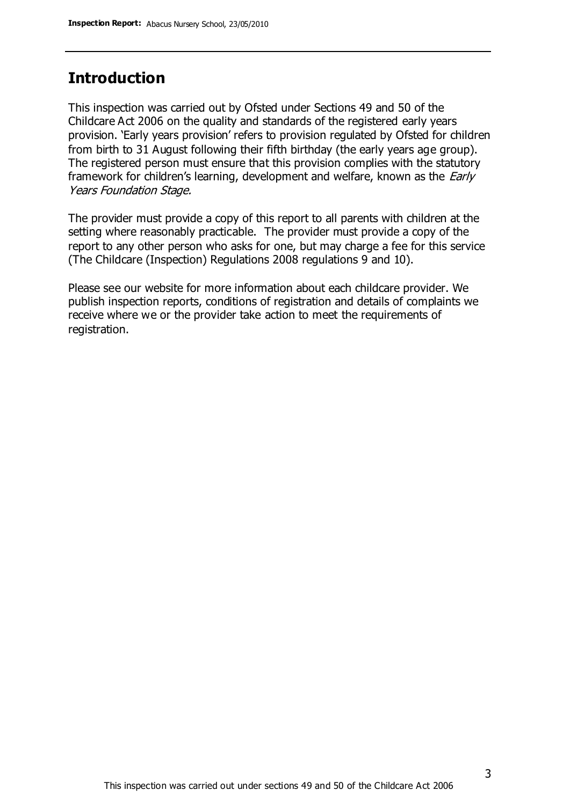### **Introduction**

This inspection was carried out by Ofsted under Sections 49 and 50 of the Childcare Act 2006 on the quality and standards of the registered early years provision. 'Early years provision' refers to provision regulated by Ofsted for children from birth to 31 August following their fifth birthday (the early years age group). The registered person must ensure that this provision complies with the statutory framework for children's learning, development and welfare, known as the *Early* Years Foundation Stage.

The provider must provide a copy of this report to all parents with children at the setting where reasonably practicable. The provider must provide a copy of the report to any other person who asks for one, but may charge a fee for this service (The Childcare (Inspection) Regulations 2008 regulations 9 and 10).

Please see our website for more information about each childcare provider. We publish inspection reports, conditions of registration and details of complaints we receive where we or the provider take action to meet the requirements of registration.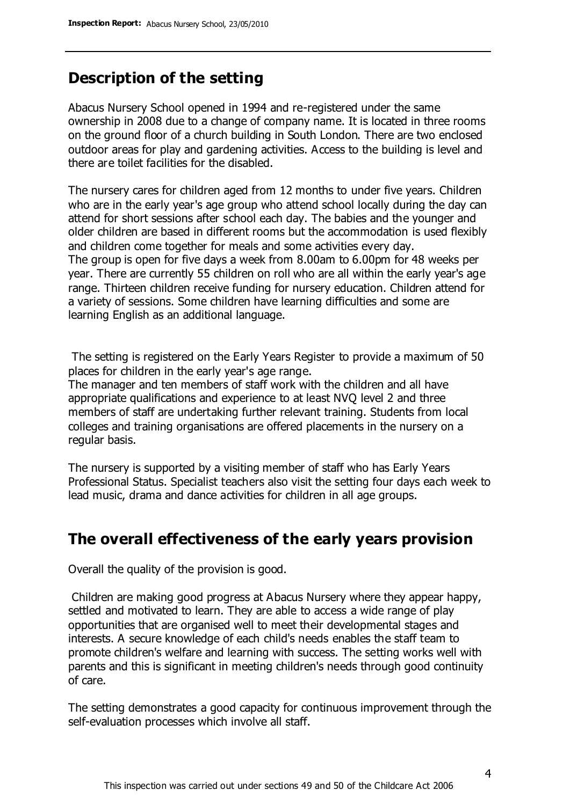## **Description of the setting**

Abacus Nursery School opened in 1994 and re-registered under the same ownership in 2008 due to a change of company name. It is located in three rooms on the ground floor of a church building in South London. There are two enclosed outdoor areas for play and gardening activities. Access to the building is level and there are toilet facilities for the disabled.

The nursery cares for children aged from 12 months to under five years. Children who are in the early year's age group who attend school locally during the day can attend for short sessions after school each day. The babies and the younger and older children are based in different rooms but the accommodation is used flexibly and children come together for meals and some activities every day. The group is open for five days a week from 8.00am to 6.00pm for 48 weeks per year. There are currently 55 children on roll who are all within the early year's age range. Thirteen children receive funding for nursery education. Children attend for

a variety of sessions. Some children have learning difficulties and some are learning English as an additional language.

The setting is registered on the Early Years Register to provide a maximum of 50 places for children in the early year's age range.

The manager and ten members of staff work with the children and all have appropriate qualifications and experience to at least NVQ level 2 and three members of staff are undertaking further relevant training. Students from local colleges and training organisations are offered placements in the nursery on a regular basis.

The nursery is supported by a visiting member of staff who has Early Years Professional Status. Specialist teachers also visit the setting four days each week to lead music, drama and dance activities for children in all age groups.

### **The overall effectiveness of the early years provision**

Overall the quality of the provision is good.

Children are making good progress at Abacus Nursery where they appear happy, settled and motivated to learn. They are able to access a wide range of play opportunities that are organised well to meet their developmental stages and interests. A secure knowledge of each child's needs enables the staff team to promote children's welfare and learning with success. The setting works well with parents and this is significant in meeting children's needs through good continuity of care.

The setting demonstrates a good capacity for continuous improvement through the self-evaluation processes which involve all staff.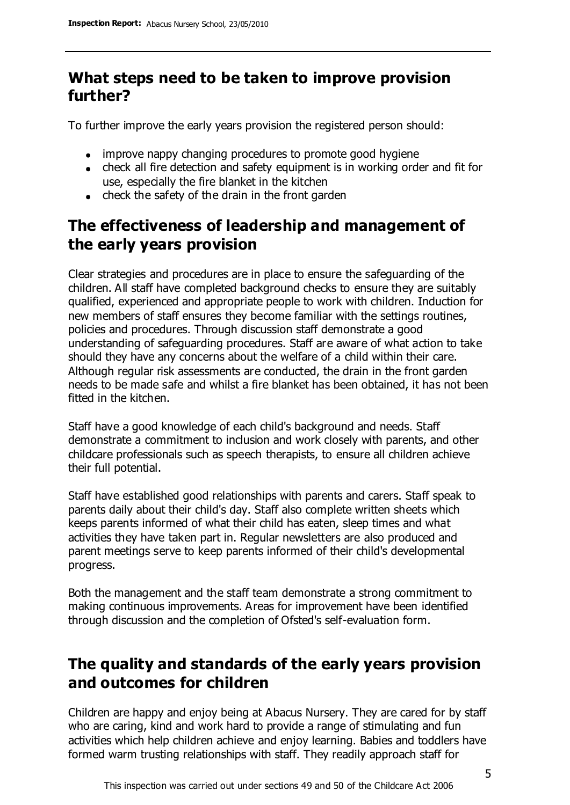# **What steps need to be taken to improve provision further?**

To further improve the early years provision the registered person should:

- improve nappy changing procedures to promote good hygiene
- check all fire detection and safety equipment is in working order and fit for use, especially the fire blanket in the kitchen
- $\bullet$  check the safety of the drain in the front garden

# **The effectiveness of leadership and management of the early years provision**

Clear strategies and procedures are in place to ensure the safeguarding of the children. All staff have completed background checks to ensure they are suitably qualified, experienced and appropriate people to work with children. Induction for new members of staff ensures they become familiar with the settings routines, policies and procedures. Through discussion staff demonstrate a good understanding of safeguarding procedures. Staff are aware of what action to take should they have any concerns about the welfare of a child within their care. Although regular risk assessments are conducted, the drain in the front garden needs to be made safe and whilst a fire blanket has been obtained, it has not been fitted in the kitchen.

Staff have a good knowledge of each child's background and needs. Staff demonstrate a commitment to inclusion and work closely with parents, and other childcare professionals such as speech therapists, to ensure all children achieve their full potential.

Staff have established good relationships with parents and carers. Staff speak to parents daily about their child's day. Staff also complete written sheets which keeps parents informed of what their child has eaten, sleep times and what activities they have taken part in. Regular newsletters are also produced and parent meetings serve to keep parents informed of their child's developmental progress.

Both the management and the staff team demonstrate a strong commitment to making continuous improvements. Areas for improvement have been identified through discussion and the completion of Ofsted's self-evaluation form.

# **The quality and standards of the early years provision and outcomes for children**

Children are happy and enjoy being at Abacus Nursery. They are cared for by staff who are caring, kind and work hard to provide a range of stimulating and fun activities which help children achieve and enjoy learning. Babies and toddlers have formed warm trusting relationships with staff. They readily approach staff for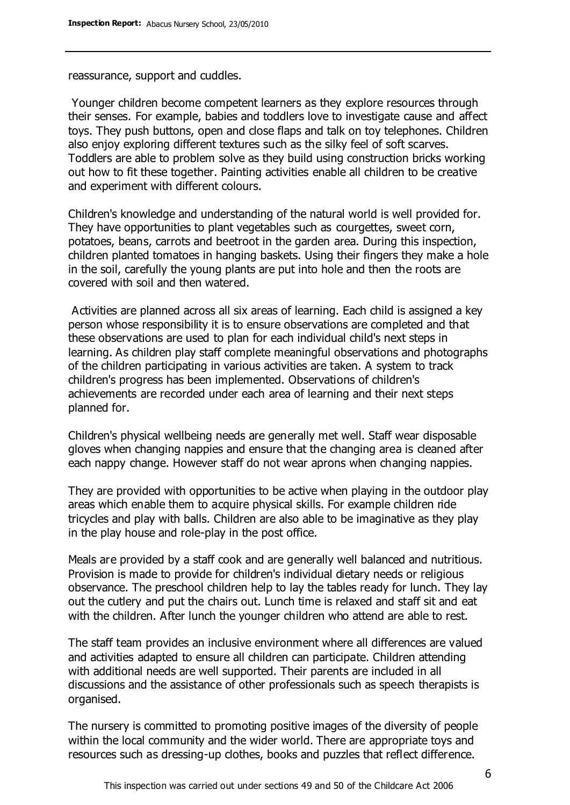reassurance, support and cuddles.

Younger children become competent learners as they explore resources through their senses. For example, babies and toddlers love to investigate cause and affect toys. They push buttons, open and close flaps and talk on toy telephones. Children also enjoy exploring different textures such as the silky feel of soft scarves. Toddlers are able to problem solve as they build using construction bricks working out how to fit these together. Painting activities enable all children to be creative and experiment with different colours.

Children's knowledge and understanding of the natural world is well provided for. They have opportunities to plant vegetables such as courgettes, sweet corn, potatoes, beans, carrots and beetroot in the garden area. During this inspection, children planted tomatoes in hanging baskets. Using their fingers they make a hole in the soil, carefully the young plants are put into hole and then the roots are covered with soil and then watered.

Activities are planned across all six areas of learning. Each child is assigned a key person whose responsibility it is to ensure observations are completed and that these observations are used to plan for each individual child's next steps in learning. As children play staff complete meaningful observations and photographs of the children participating in various activities are taken. A system to track children's progress has been implemented. Observations of children's achievements are recorded under each area of learning and their next steps planned for.

Children's physical wellbeing needs are generally met well. Staff wear disposable gloves when changing nappies and ensure that the changing area is cleaned after each nappy change. However staff do not wear aprons when changing nappies.

They are provided with opportunities to be active when playing in the outdoor play areas which enable them to acquire physical skills. For example children ride tricycles and play with balls. Children are also able to be imaginative as they play in the play house and role-play in the post office.

Meals are provided by a staff cook and are generally well balanced and nutritious. Provision is made to provide for children's individual dietary needs or religious observance. The preschool children help to lay the tables ready for lunch. They lay out the cutlery and put the chairs out. Lunch time is relaxed and staff sit and eat with the children. After lunch the younger children who attend are able to rest.

The staff team provides an inclusive environment where all differences are valued and activities adapted to ensure all children can participate. Children attending with additional needs are well supported. Their parents are included in all discussions and the assistance of other professionals such as speech therapists is organised.

The nursery is committed to promoting positive images of the diversity of people within the local community and the wider world. There are appropriate toys and resources such as dressing-up clothes, books and puzzles that reflect difference.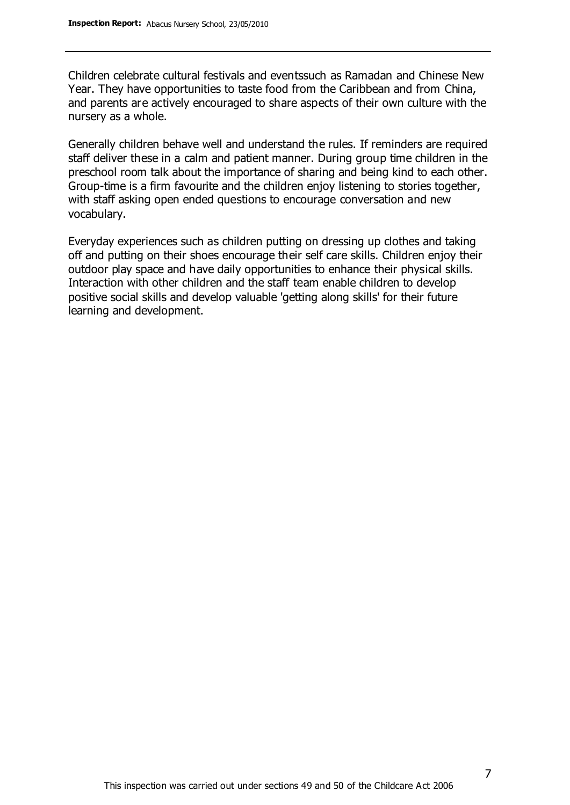Children celebrate cultural festivals and eventssuch as Ramadan and Chinese New Year. They have opportunities to taste food from the Caribbean and from China, and parents are actively encouraged to share aspects of their own culture with the nursery as a whole.

Generally children behave well and understand the rules. If reminders are required staff deliver these in a calm and patient manner. During group time children in the preschool room talk about the importance of sharing and being kind to each other. Group-time is a firm favourite and the children enjoy listening to stories together, with staff asking open ended questions to encourage conversation and new vocabulary.

Everyday experiences such as children putting on dressing up clothes and taking off and putting on their shoes encourage their self care skills. Children enjoy their outdoor play space and have daily opportunities to enhance their physical skills. Interaction with other children and the staff team enable children to develop positive social skills and develop valuable 'getting along skills' for their future learning and development.